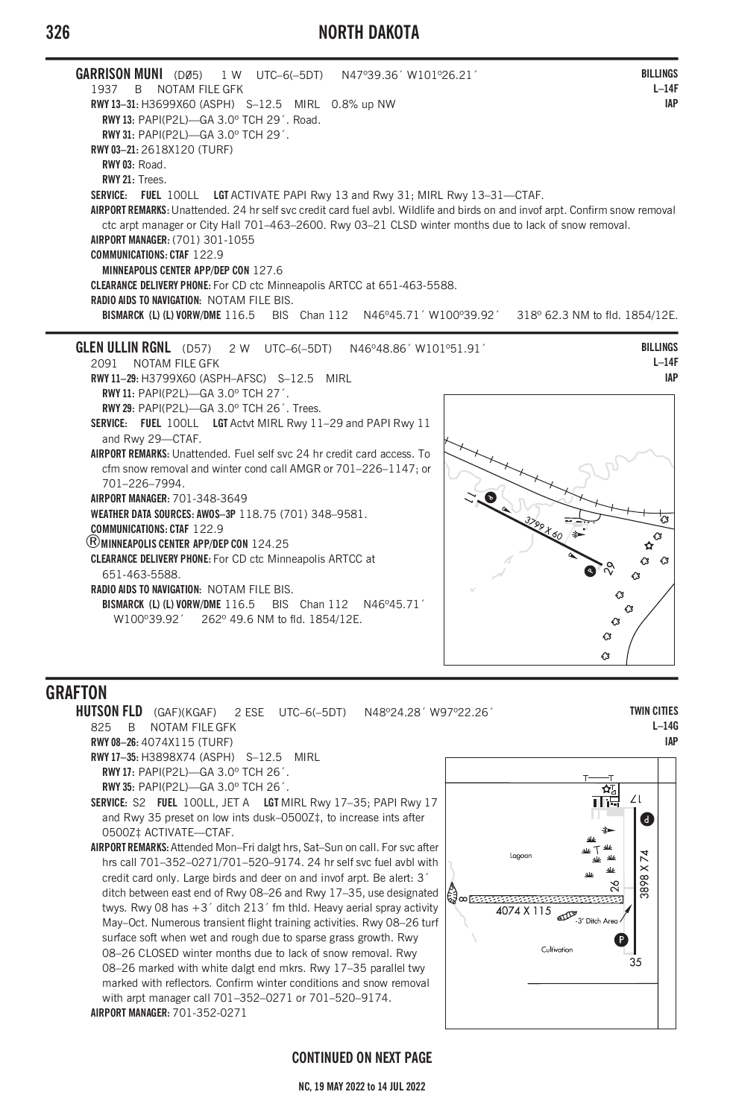# **326 NORTH DAKOTA**



# **GRAFTON**

**HUTSON FLD** (GAF)(KGAF) 2 ESE UTC–6(–5DT) N48º24.28´ W97º22.26´ 825 B NOTAM FILE GFK **RWY 08–26:** 4074X115 (TURF) **RWY 17–35:** H3898X74 (ASPH) S–12.5 MIRL **RWY 17:** PAPI(P2L)—GA 3.0º TCH 26´. **RWY 35:** PAPI(P2L)—GA 3.0º TCH 26´. **SERVICE:** S2 **FUEL** 100LL, JET A **LGT** MIRL Rwy 17–35; PAPI Rwy 17 and Rwy 35 preset on low ints dusk–0500Z‡, to increase ints after 0500Z‡ ACTIVATE—CTAF. **AIRPORT REMARKS:** Attended Mon–Fri dalgt hrs, Sat–Sun on call. For svc after hrs call 701–352–0271/701–520–9174. 24 hr self svc fuel avbl with credit card only. Large birds and deer on and invof arpt. Be alert: 3´ ditch between east end of Rwy 08–26 and Rwy 17–35, use designated twys. Rwy 08 has +3´ ditch 213´ fm thld. Heavy aerial spray activity May–Oct. Numerous transient flight training activities. Rwy 08–26 turf surface soft when wet and rough due to sparse grass growth. Rwy 08–26 CLOSED winter months due to lack of snow removal. Rwy 08–26 marked with white dalgt end mkrs. Rwy 17–35 parallel twy marked with reflectors. Confirm winter conditions and snow removal with arpt manager call 701–352–0271 or 701–520–9174. **AIRPORT MANAGER:** 701-352-0271



**TWIN CITIES L–14G IAP**

#### **CONTINUED ON NEXT PAGE**

**NC, 19 MAY 2022 to 14 JUL 2022**